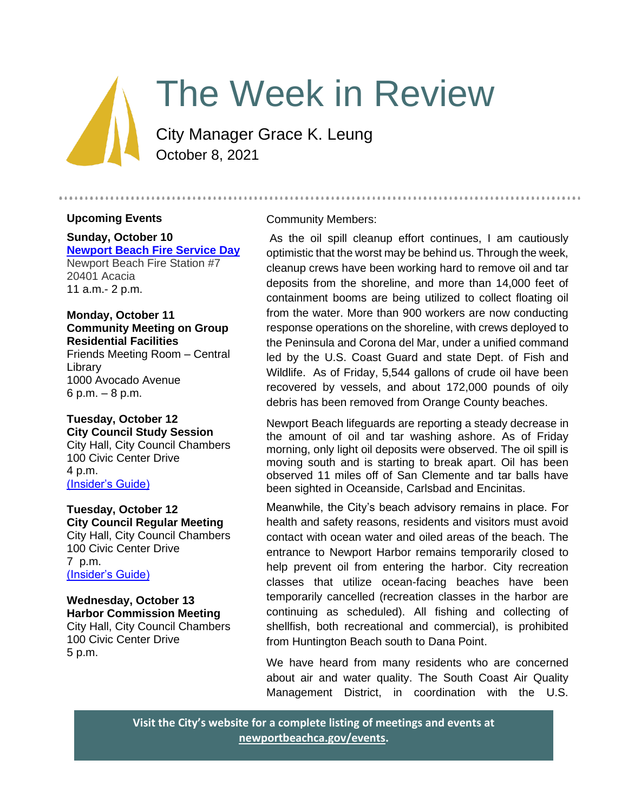# The Week in Review

City Manager Grace K. Leung October 8, 2021

### **Upcoming Events**

# **Sunday, October 10 [Newport Beach Fire Service Day](https://newportbeachca.gov/Home/Components/Calendar/Event/67314/72)** Newport Beach Fire Station #7

20401 Acacia 11 a.m.- 2 p.m.

# **Monday, October 11 Community Meeting on Group Residential Facilities**

Friends Meeting Room – Central Library 1000 Avocado Avenue 6 p.m. – 8 p.m.

#### **Tuesday, October 12 City Council Study Session**  City Hall, City Council Chambers 100 Civic Center Drive 4 p.m.

[\(Insider's Guide\)](https://newportbeachca.gov/government/departments/city-manager-s-office/insider-s-guide)

# **Tuesday, October 12 City Council Regular Meeting**

City Hall, City Council Chambers 100 Civic Center Drive 7 p.m. [\(Insider's Guide\)](https://newportbeachca.gov/government/departments/city-manager-s-office/insider-s-guide)

#### **Wednesday, October 13 Harbor Commission Meeting** City Hall, City Council Chambers

100 Civic Center Drive 5 p.m.

# Community Members:

As the oil spill cleanup effort continues, I am cautiously optimistic that the worst may be behind us. Through the week, cleanup crews have been working hard to remove oil and tar deposits from the shoreline, and more than 14,000 feet of containment booms are being utilized to collect floating oil from the water. More than 900 workers are now conducting response operations on the shoreline, with crews deployed to the Peninsula and Corona del Mar, under a unified command led by the U.S. Coast Guard and state Dept. of Fish and Wildlife. As of Friday, 5,544 gallons of crude oil have been recovered by vessels, and about 172,000 pounds of oily debris has been removed from Orange County beaches.

Newport Beach lifeguards are reporting a steady decrease in the amount of oil and tar washing ashore. As of Friday morning, only light oil deposits were observed. The oil spill is moving south and is starting to break apart. Oil has been observed 11 miles off of San Clemente and tar balls have been sighted in Oceanside, Carlsbad and Encinitas.

Meanwhile, the City's beach advisory remains in place. For health and safety reasons, residents and visitors must avoid contact with ocean water and oiled areas of the beach. The entrance to Newport Harbor remains temporarily closed to help prevent oil from entering the harbor. City recreation classes that utilize ocean-facing beaches have been temporarily cancelled (recreation classes in the harbor are continuing as scheduled). All fishing and collecting of shellfish, both recreational and commercial), is prohibited from Huntington Beach south to Dana Point.

We have heard from many residents who are concerned about air and water quality. The South Coast Air Quality Management District, in coordination with the U.S.

**Visit the City's website for a complete listing of meetings and events at [newportbeachca.gov/events.](https://www.newportbeachca.gov/government/data-hub/city-calendar)**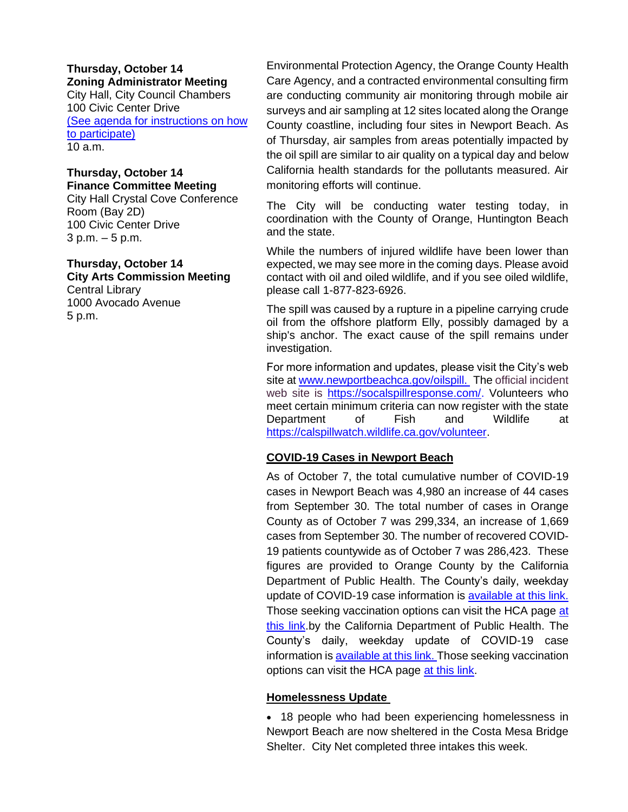#### **Thursday, October 14 Zoning Administrator Meeting** City Hall, City Council Chambers 100 Civic Center Drive [\(See agenda for instructions on how](https://www.newportbeachca.gov/government/departments/community-development/planning-division/zoning-administrator)

[to participate\)](https://www.newportbeachca.gov/government/departments/community-development/planning-division/zoning-administrator) 10 a.m.

#### **Thursday, October 14 Finance Committee Meeting**

City Hall Crystal Cove Conference Room (Bay 2D) 100 Civic Center Drive 3 p.m. – 5 p.m.

#### **Thursday, October 14 City Arts Commission Meeting**

Central Library 1000 Avocado Avenue 5 p.m.

Environmental Protection Agency, the Orange County Health Care Agency, and a contracted environmental consulting firm are conducting community air monitoring through mobile air surveys and air sampling at 12 sites located along the Orange County coastline, including four sites in Newport Beach. As of Thursday, air samples from areas potentially impacted by the oil spill are similar to air quality on a typical day and below California health standards for the pollutants measured. Air monitoring efforts will continue.

The City will be conducting water testing today, in coordination with the County of Orange, Huntington Beach and the state.

While the numbers of injured wildlife have been lower than expected, we may see more in the coming days. Please avoid contact with oil and oiled wildlife, and if you see oiled wildlife, please call 1-877-823-6926.

The spill was caused by a rupture in a pipeline carrying crude oil from the offshore platform Elly, possibly damaged by a ship's anchor. The exact cause of the spill remains under investigation.

For more information and updates, please visit the City's web site at [www.newportbeachca.gov/oilspill.](http://www.newportbeachca.gov/oilspill) The official incident web site is [https://socalspillresponse.com/.](https://socalspillresponse.com/) Volunteers who meet certain minimum criteria can now register with the state Department of Fish and Wildlife at [https://calspillwatch.wildlife.ca.gov/volunteer.](https://calspillwatch.wildlife.ca.gov/volunteer)

### **COVID-19 Cases in Newport Beach**

As of October 7, the total cumulative number of COVID-19 cases in Newport Beach was 4,980 an increase of 44 cases from September 30. The total number of cases in Orange County as of October 7 was 299,334, an increase of 1,669 cases from September 30. The number of recovered COVID-19 patients countywide as of October 7 was 286,423. These figures are provided to Orange County by the California Department of Public Health. The County's daily, weekday update of COVID-19 case information is [available at this link.](https://ochca.maps.arcgis.com/apps/dashboards/cc4859c8c522496b9f21c451de2fedae) Those seeking vaccination options can visit the HCA page at [this link.](https://occovid19.ochealthinfo.com/covid-19-vaccine-distribution-channels)by the California Department of Public Health. The County's daily, weekday update of COVID-19 case information is [available at this link.](https://ochca.maps.arcgis.com/apps/dashboards/cc4859c8c522496b9f21c451de2fedae) Those seeking vaccination options can visit the HCA page [at this link.](https://occovid19.ochealthinfo.com/covid-19-vaccine-distribution-channels)

### **Homelessness Update**

• 18 people who had been experiencing homelessness in Newport Beach are now sheltered in the Costa Mesa Bridge Shelter. City Net completed three intakes this week.